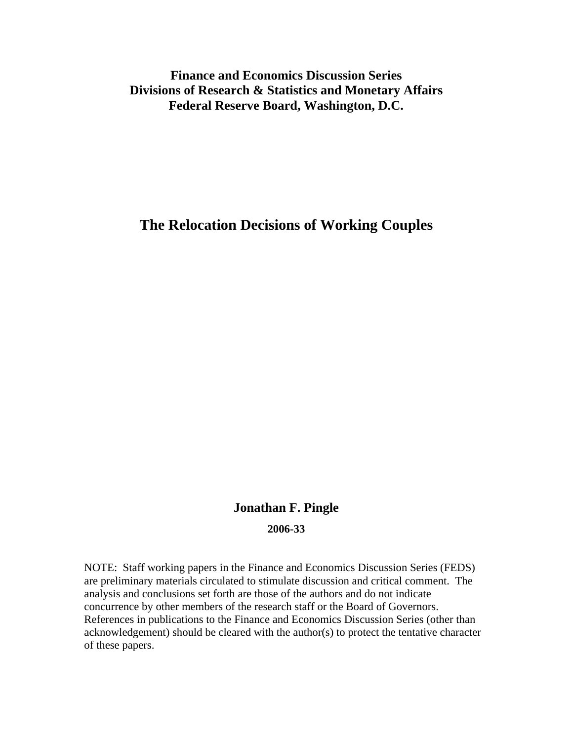## **Finance and Economics Discussion Series Divisions of Research & Statistics and Monetary Affairs Federal Reserve Board, Washington, D.C.**

## **The Relocation Decisions of Working Couples**

# **Jonathan F. Pingle 2006-33**

NOTE: Staff working papers in the Finance and Economics Discussion Series (FEDS) are preliminary materials circulated to stimulate discussion and critical comment. The analysis and conclusions set forth are those of the authors and do not indicate concurrence by other members of the research staff or the Board of Governors. References in publications to the Finance and Economics Discussion Series (other than acknowledgement) should be cleared with the author(s) to protect the tentative character of these papers.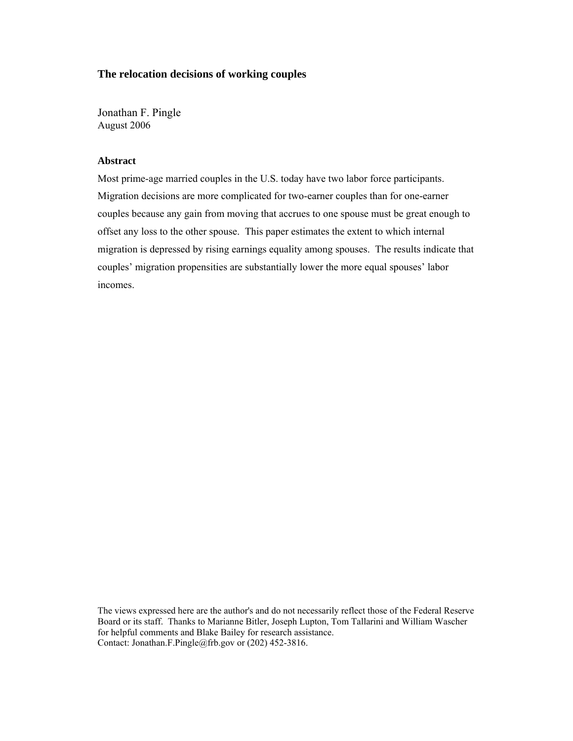## **The relocation decisions of working couples**

Jonathan F. Pingle August 2006

### **Abstract**

Most prime-age married couples in the U.S. today have two labor force participants. Migration decisions are more complicated for two-earner couples than for one-earner couples because any gain from moving that accrues to one spouse must be great enough to offset any loss to the other spouse. This paper estimates the extent to which internal migration is depressed by rising earnings equality among spouses. The results indicate that couples' migration propensities are substantially lower the more equal spouses' labor incomes.

The views expressed here are the author's and do not necessarily reflect those of the Federal Reserve Board or its staff. Thanks to Marianne Bitler, Joseph Lupton, Tom Tallarini and William Wascher for helpful comments and Blake Bailey for research assistance. Contact: Jonathan.F.Pingle@frb.gov or (202) 452-3816.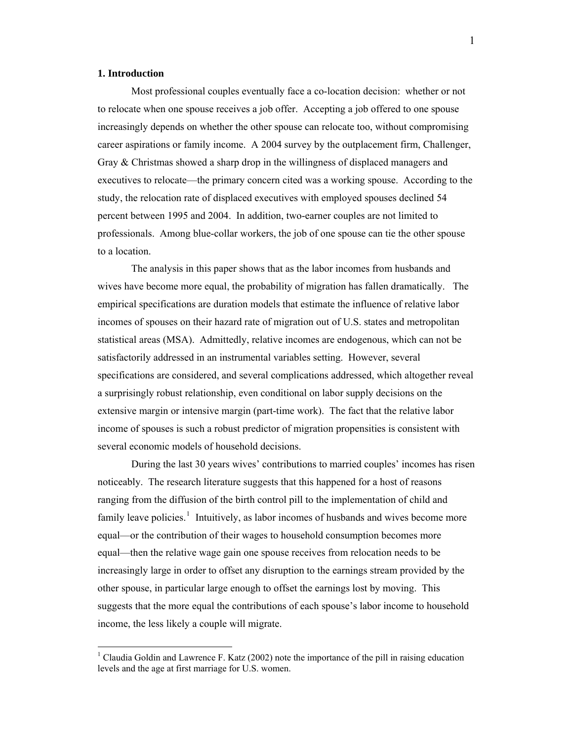#### **1. Introduction**

 $\overline{a}$ 

 Most professional couples eventually face a co-location decision: whether or not to relocate when one spouse receives a job offer. Accepting a job offered to one spouse increasingly depends on whether the other spouse can relocate too, without compromising career aspirations or family income. A 2004 survey by the outplacement firm, Challenger, Gray & Christmas showed a sharp drop in the willingness of displaced managers and executives to relocate—the primary concern cited was a working spouse. According to the study, the relocation rate of displaced executives with employed spouses declined 54 percent between 1995 and 2004. In addition, two-earner couples are not limited to professionals. Among blue-collar workers, the job of one spouse can tie the other spouse to a location.

 The analysis in this paper shows that as the labor incomes from husbands and wives have become more equal, the probability of migration has fallen dramatically. The empirical specifications are duration models that estimate the influence of relative labor incomes of spouses on their hazard rate of migration out of U.S. states and metropolitan statistical areas (MSA). Admittedly, relative incomes are endogenous, which can not be satisfactorily addressed in an instrumental variables setting. However, several specifications are considered, and several complications addressed, which altogether reveal a surprisingly robust relationship, even conditional on labor supply decisions on the extensive margin or intensive margin (part-time work). The fact that the relative labor income of spouses is such a robust predictor of migration propensities is consistent with several economic models of household decisions.

 During the last 30 years wives' contributions to married couples' incomes has risen noticeably. The research literature suggests that this happened for a host of reasons ranging from the diffusion of the birth control pill to the implementation of child and family leave policies.<sup>[1](#page-2-0)</sup> Intuitively, as labor incomes of husbands and wives become more equal—or the contribution of their wages to household consumption becomes more equal—then the relative wage gain one spouse receives from relocation needs to be increasingly large in order to offset any disruption to the earnings stream provided by the other spouse, in particular large enough to offset the earnings lost by moving. This suggests that the more equal the contributions of each spouse's labor income to household income, the less likely a couple will migrate.

<span id="page-2-0"></span><sup>&</sup>lt;sup>1</sup> Claudia Goldin and Lawrence F. Katz (2002) note the importance of the pill in raising education levels and the age at first marriage for U.S. women.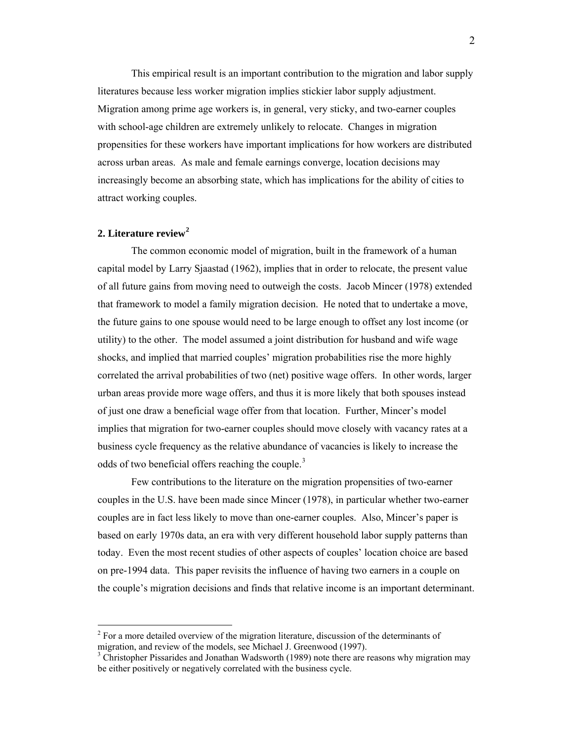This empirical result is an important contribution to the migration and labor supply literatures because less worker migration implies stickier labor supply adjustment. Migration among prime age workers is, in general, very sticky, and two-earner couples with school-age children are extremely unlikely to relocate. Changes in migration propensities for these workers have important implications for how workers are distributed across urban areas. As male and female earnings converge, location decisions may increasingly become an absorbing state, which has implications for the ability of cities to attract working couples.

#### **2. Literature review[2](#page-3-0)**

 $\overline{a}$ 

The common economic model of migration, built in the framework of a human capital model by Larry Sjaastad (1962), implies that in order to relocate, the present value of all future gains from moving need to outweigh the costs. Jacob Mincer (1978) extended that framework to model a family migration decision. He noted that to undertake a move, the future gains to one spouse would need to be large enough to offset any lost income (or utility) to the other. The model assumed a joint distribution for husband and wife wage shocks, and implied that married couples' migration probabilities rise the more highly correlated the arrival probabilities of two (net) positive wage offers. In other words, larger urban areas provide more wage offers, and thus it is more likely that both spouses instead of just one draw a beneficial wage offer from that location. Further, Mincer's model implies that migration for two-earner couples should move closely with vacancy rates at a business cycle frequency as the relative abundance of vacancies is likely to increase the odds of two beneficial offers reaching the couple.<sup>[3](#page-3-1)</sup>

 Few contributions to the literature on the migration propensities of two-earner couples in the U.S. have been made since Mincer (1978), in particular whether two-earner couples are in fact less likely to move than one-earner couples. Also, Mincer's paper is based on early 1970s data, an era with very different household labor supply patterns than today. Even the most recent studies of other aspects of couples' location choice are based on pre-1994 data. This paper revisits the influence of having two earners in a couple on the couple's migration decisions and finds that relative income is an important determinant.

<span id="page-3-0"></span> $2^2$  For a more detailed overview of the migration literature, discussion of the determinants of migration, and review of the models, see Michael J. Greenwood (1997). 3

<span id="page-3-1"></span><sup>&</sup>lt;sup>3</sup> Christopher Pissarides and Jonathan Wadsworth (1989) note there are reasons why migration may be either positively or negatively correlated with the business cycle.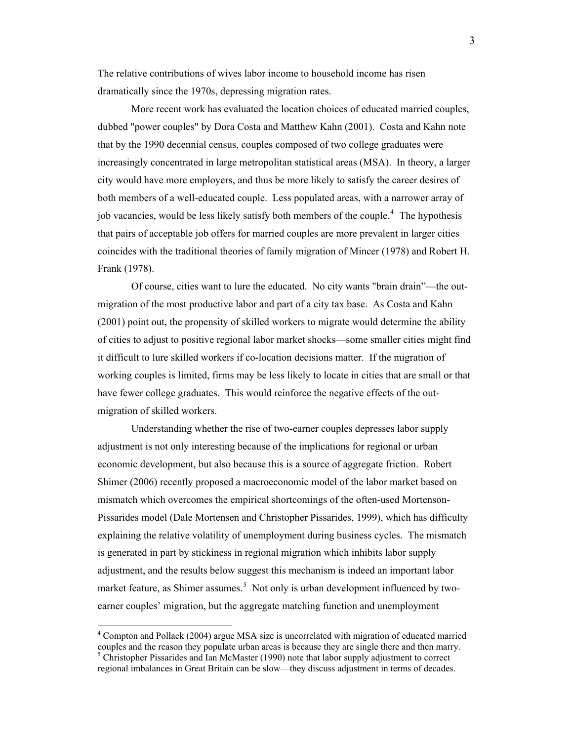The relative contributions of wives labor income to household income has risen dramatically since the 1970s, depressing migration rates.

 More recent work has evaluated the location choices of educated married couples, dubbed "power couples" by Dora Costa and Matthew Kahn (2001). Costa and Kahn note that by the 1990 decennial census, couples composed of two college graduates were increasingly concentrated in large metropolitan statistical areas (MSA). In theory, a larger city would have more employers, and thus be more likely to satisfy the career desires of both members of a well-educated couple. Less populated areas, with a narrower array of job vacancies, would be less likely satisfy both members of the couple.<sup>[4](#page-4-0)</sup> The hypothesis that pairs of acceptable job offers for married couples are more prevalent in larger cities coincides with the traditional theories of family migration of Mincer (1978) and Robert H. Frank (1978).

 Of course, cities want to lure the educated. No city wants "brain drain"—the outmigration of the most productive labor and part of a city tax base. As Costa and Kahn (2001) point out, the propensity of skilled workers to migrate would determine the ability of cities to adjust to positive regional labor market shocks—some smaller cities might find it difficult to lure skilled workers if co-location decisions matter. If the migration of working couples is limited, firms may be less likely to locate in cities that are small or that have fewer college graduates. This would reinforce the negative effects of the outmigration of skilled workers.

Understanding whether the rise of two-earner couples depresses labor supply adjustment is not only interesting because of the implications for regional or urban economic development, but also because this is a source of aggregate friction. Robert Shimer (2006) recently proposed a macroeconomic model of the labor market based on mismatch which overcomes the empirical shortcomings of the often-used Mortenson-Pissarides model (Dale Mortensen and Christopher Pissarides, 1999), which has difficulty explaining the relative volatility of unemployment during business cycles. The mismatch is generated in part by stickiness in regional migration which inhibits labor supply adjustment, and the results below suggest this mechanism is indeed an important labor market feature, as Shimer assumes.<sup>[5](#page-4-1)</sup> Not only is urban development influenced by twoearner couples' migration, but the aggregate matching function and unemployment

<span id="page-4-1"></span><span id="page-4-0"></span><sup>&</sup>lt;sup>4</sup> Compton and Pollack (2004) argue MSA size is uncorrelated with migration of educated married couples and the reason they populate urban areas is because they are single there and then marry.  $<sup>5</sup>$  Christopher Pissarides and Ian McMaster (1990) note that labor supply adjustment to correct</sup> regional imbalances in Great Britain can be slow—they discuss adjustment in terms of decades.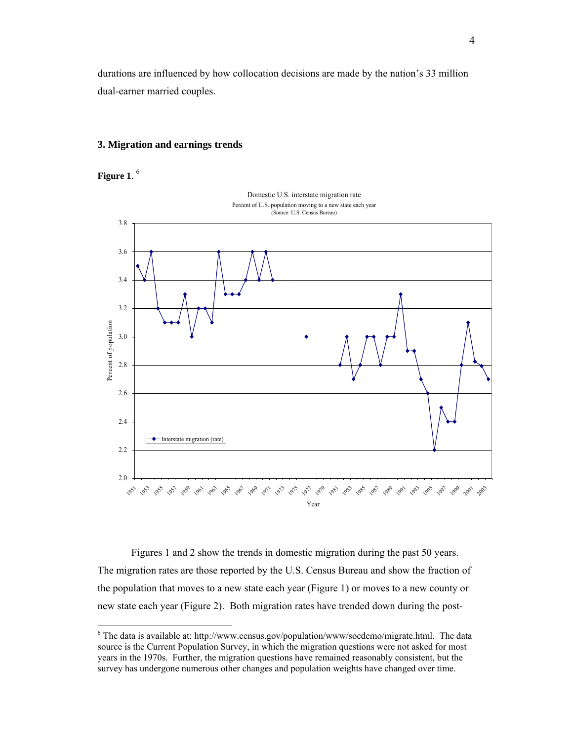durations are influenced by how collocation decisions are made by the nation's 33 million dual-earner married couples.

#### **3. Migration and earnings trends**

**Figure 1**. [6](#page-5-0)

 $\overline{a}$ 



 Figures 1 and 2 show the trends in domestic migration during the past 50 years. The migration rates are those reported by the U.S. Census Bureau and show the fraction of the population that moves to a new state each year (Figure 1) or moves to a new county or new state each year (Figure 2). Both migration rates have trended down during the post-

<span id="page-5-0"></span> $6$  The data is available at: http://www.census.gov/population/www/socdemo/migrate.html. The data source is the Current Population Survey, in which the migration questions were not asked for most years in the 1970s. Further, the migration questions have remained reasonably consistent, but the survey has undergone numerous other changes and population weights have changed over time.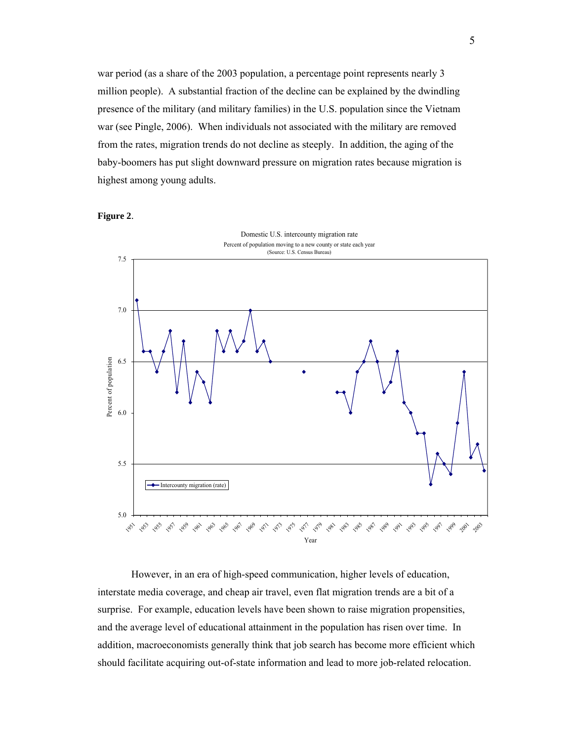war period (as a share of the 2003 population, a percentage point represents nearly 3 million people). A substantial fraction of the decline can be explained by the dwindling presence of the military (and military families) in the U.S. population since the Vietnam war (see Pingle, 2006). When individuals not associated with the military are removed from the rates, migration trends do not decline as steeply. In addition, the aging of the baby-boomers has put slight downward pressure on migration rates because migration is highest among young adults.

**Figure 2**.



 However, in an era of high-speed communication, higher levels of education, interstate media coverage, and cheap air travel, even flat migration trends are a bit of a surprise. For example, education levels have been shown to raise migration propensities, and the average level of educational attainment in the population has risen over time. In addition, macroeconomists generally think that job search has become more efficient which should facilitate acquiring out-of-state information and lead to more job-related relocation.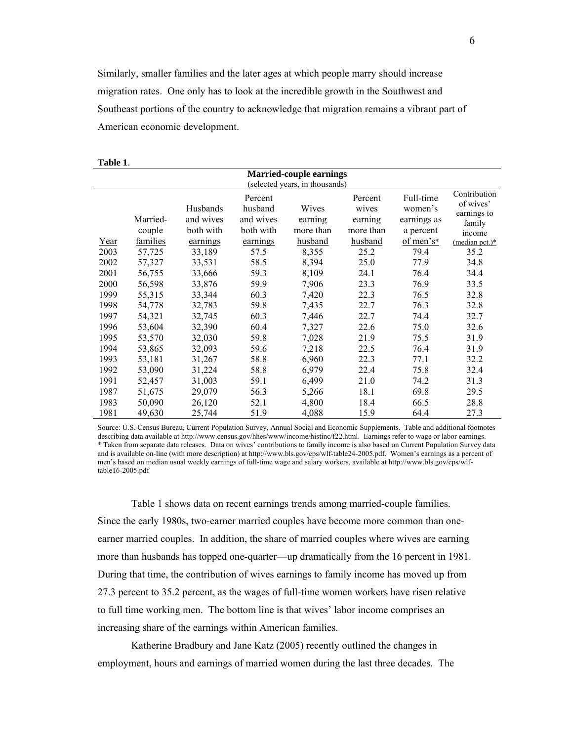Similarly, smaller families and the later ages at which people marry should increase migration rates. One only has to look at the incredible growth in the Southwest and Southeast portions of the country to acknowledge that migration remains a vibrant part of American economic development.

| <b>Married-couple earnings</b><br>(selected years, in thousands) |          |           |           |           |           |             |                           |
|------------------------------------------------------------------|----------|-----------|-----------|-----------|-----------|-------------|---------------------------|
|                                                                  | Percent  |           |           |           | Percent   | Full-time   | Contribution<br>of wives' |
|                                                                  |          | Husbands  | husband   | Wives     | wives     | women's     | earnings to               |
|                                                                  | Married- | and wives | and wives | earning   | earning   | earnings as | family                    |
|                                                                  | couple   | both with | both with | more than | more than | a percent   | income                    |
| Year                                                             | families | earnings  | earnings  | husband   | husband   | of men's*   | (median pct.)*            |
| 2003                                                             | 57,725   | 33,189    | 57.5      | 8,355     | 25.2      | 79.4        | 35.2                      |
| 2002                                                             | 57,327   | 33,531    | 58.5      | 8,394     | 25.0      | 77.9        | 34.8                      |
| 2001                                                             | 56,755   | 33,666    | 59.3      | 8,109     | 24.1      | 76.4        | 34.4                      |
| 2000                                                             | 56,598   | 33,876    | 59.9      | 7,906     | 23.3      | 76.9        | 33.5                      |
| 1999                                                             | 55,315   | 33,344    | 60.3      | 7,420     | 22.3      | 76.5        | 32.8                      |
| 1998                                                             | 54,778   | 32,783    | 59.8      | 7,435     | 22.7      | 76.3        | 32.8                      |
| 1997                                                             | 54,321   | 32,745    | 60.3      | 7,446     | 22.7      | 74.4        | 32.7                      |
| 1996                                                             | 53,604   | 32,390    | 60.4      | 7,327     | 22.6      | 75.0        | 32.6                      |
| 1995                                                             | 53,570   | 32,030    | 59.8      | 7,028     | 21.9      | 75.5        | 31.9                      |
| 1994                                                             | 53,865   | 32,093    | 59.6      | 7,218     | 22.5      | 76.4        | 31.9                      |
| 1993                                                             | 53,181   | 31,267    | 58.8      | 6,960     | 22.3      | 77.1        | 32.2                      |
| 1992                                                             | 53,090   | 31,224    | 58.8      | 6,979     | 22.4      | 75.8        | 32.4                      |
| 1991                                                             | 52,457   | 31,003    | 59.1      | 6,499     | 21.0      | 74.2        | 31.3                      |
| 1987                                                             | 51,675   | 29,079    | 56.3      | 5,266     | 18.1      | 69.8        | 29.5                      |
| 1983                                                             | 50,090   | 26,120    | 52.1      | 4,800     | 18.4      | 66.5        | 28.8                      |
| 1981                                                             | 49,630   | 25,744    | 51.9      | 4,088     | 15.9      | 64.4        | 27.3                      |

**Table 1**.

Source: U.S. Census Bureau, Current Population Survey, Annual Social and Economic Supplements. Table and additional footnotes describing data available at http://www.census.gov/hhes/www/income/histinc/f22.html. Earnings refer to wage or labor earnings. \* Taken from separate data releases. Data on wives' contributions to family income is also based on Current Population Survey data and is available on-line (with more description) at http://www.bls.gov/cps/wlf-table24-2005.pdf. Women's earnings as a percent of men's based on median usual weekly earnings of full-time wage and salary workers, available at http://www.bls.gov/cps/wlftable16-2005.pdf

 Table 1 shows data on recent earnings trends among married-couple families. Since the early 1980s, two-earner married couples have become more common than oneearner married couples. In addition, the share of married couples where wives are earning more than husbands has topped one-quarter—up dramatically from the 16 percent in 1981. During that time, the contribution of wives earnings to family income has moved up from 27.3 percent to 35.2 percent, as the wages of full-time women workers have risen relative to full time working men. The bottom line is that wives' labor income comprises an increasing share of the earnings within American families.

Katherine Bradbury and Jane Katz (2005) recently outlined the changes in employment, hours and earnings of married women during the last three decades. The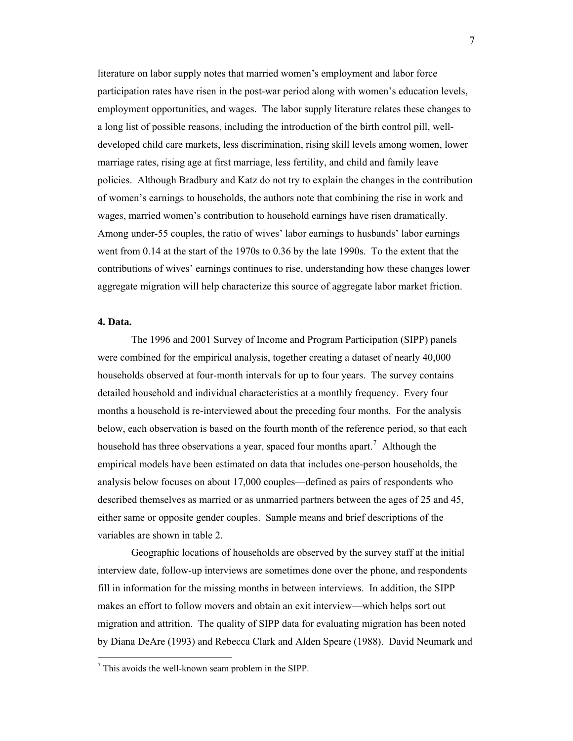literature on labor supply notes that married women's employment and labor force participation rates have risen in the post-war period along with women's education levels, employment opportunities, and wages. The labor supply literature relates these changes to a long list of possible reasons, including the introduction of the birth control pill, welldeveloped child care markets, less discrimination, rising skill levels among women, lower marriage rates, rising age at first marriage, less fertility, and child and family leave policies. Although Bradbury and Katz do not try to explain the changes in the contribution of women's earnings to households, the authors note that combining the rise in work and wages, married women's contribution to household earnings have risen dramatically. Among under-55 couples, the ratio of wives' labor earnings to husbands' labor earnings went from 0.14 at the start of the 1970s to 0.36 by the late 1990s. To the extent that the contributions of wives' earnings continues to rise, understanding how these changes lower aggregate migration will help characterize this source of aggregate labor market friction.

### **4. Data.**

 $\overline{a}$ 

 The 1996 and 2001 Survey of Income and Program Participation (SIPP) panels were combined for the empirical analysis, together creating a dataset of nearly 40,000 households observed at four-month intervals for up to four years. The survey contains detailed household and individual characteristics at a monthly frequency. Every four months a household is re-interviewed about the preceding four months. For the analysis below, each observation is based on the fourth month of the reference period, so that each household has three observations a year, spaced four months apart.<sup>[7](#page-8-0)</sup> Although the empirical models have been estimated on data that includes one-person households, the analysis below focuses on about 17,000 couples—defined as pairs of respondents who described themselves as married or as unmarried partners between the ages of 25 and 45, either same or opposite gender couples. Sample means and brief descriptions of the variables are shown in table 2.

 Geographic locations of households are observed by the survey staff at the initial interview date, follow-up interviews are sometimes done over the phone, and respondents fill in information for the missing months in between interviews. In addition, the SIPP makes an effort to follow movers and obtain an exit interview—which helps sort out migration and attrition. The quality of SIPP data for evaluating migration has been noted by Diana DeAre (1993) and Rebecca Clark and Alden Speare (1988). David Neumark and

<span id="page-8-0"></span><sup>7</sup> This avoids the well-known seam problem in the SIPP.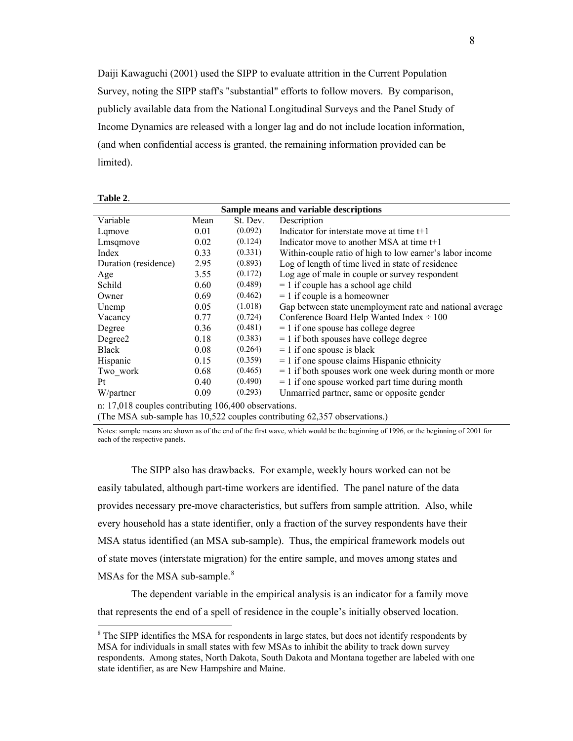Daiji Kawaguchi (2001) used the SIPP to evaluate attrition in the Current Population Survey, noting the SIPP staff's "substantial" efforts to follow movers. By comparison, publicly available data from the National Longitudinal Surveys and the Panel Study of Income Dynamics are released with a longer lag and do not include location information, (and when confidential access is granted, the remaining information provided can be limited).

| Sample means and variable descriptions               |      |          |                                                          |  |  |  |
|------------------------------------------------------|------|----------|----------------------------------------------------------|--|--|--|
| Variable                                             | Mean | St. Dev. | Description                                              |  |  |  |
| Lamove                                               | 0.01 | (0.092)  | Indicator for interstate move at time $t+1$              |  |  |  |
| Lmsqmove                                             | 0.02 | (0.124)  | Indicator move to another MSA at time $t+1$              |  |  |  |
| Index                                                | 0.33 | (0.331)  | Within-couple ratio of high to low earner's labor income |  |  |  |
| Duration (residence)                                 | 2.95 | (0.893)  | Log of length of time lived in state of residence        |  |  |  |
| Age                                                  | 3.55 | (0.172)  | Log age of male in couple or survey respondent           |  |  |  |
| Schild                                               | 0.60 | (0.489)  | $= 1$ if couple has a school age child                   |  |  |  |
| Owner                                                | 0.69 | (0.462)  | $= 1$ if couple is a homeowner                           |  |  |  |
| Unemp                                                | 0.05 | (1.018)  | Gap between state unemployment rate and national average |  |  |  |
| Vacancy                                              | 0.77 | (0.724)  | Conference Board Help Wanted Index $\div 100$            |  |  |  |
| Degree                                               | 0.36 | (0.481)  | $= 1$ if one spouse has college degree                   |  |  |  |
| Degree2                                              | 0.18 | (0.383)  | $= 1$ if both spouses have college degree                |  |  |  |
| <b>Black</b>                                         | 0.08 | (0.264)  | $= 1$ if one spouse is black                             |  |  |  |
| Hispanic                                             | 0.15 | (0.359)  | $= 1$ if one spouse claims Hispanic ethnicity            |  |  |  |
| Two work                                             | 0.68 | (0.465)  | $= 1$ if both spouses work one week during month or more |  |  |  |
| Pt                                                   | 0.40 | (0.490)  | $= 1$ if one spouse worked part time during month        |  |  |  |
| W/partner                                            | 0.09 | (0.293)  | Unmarried partner, same or opposite gender               |  |  |  |
| n: 17,018 couples contributing 106,400 observations. |      |          |                                                          |  |  |  |

(The MSA sub-sample has 10,522 couples contributing 62,357 observations.)

**Table 2**.

 $\overline{a}$ 

Notes: sample means are shown as of the end of the first wave, which would be the beginning of 1996, or the beginning of 2001 for each of the respective panels.

 The SIPP also has drawbacks. For example, weekly hours worked can not be easily tabulated, although part-time workers are identified. The panel nature of the data provides necessary pre-move characteristics, but suffers from sample attrition. Also, while every household has a state identifier, only a fraction of the survey respondents have their MSA status identified (an MSA sub-sample). Thus, the empirical framework models out of state moves (interstate migration) for the entire sample, and moves among states and MSAs for the MSA sub-sample.<sup>[8](#page-9-0)</sup>

The dependent variable in the empirical analysis is an indicator for a family move that represents the end of a spell of residence in the couple's initially observed location.

<span id="page-9-0"></span> $8$  The SIPP identifies the MSA for respondents in large states, but does not identify respondents by MSA for individuals in small states with few MSAs to inhibit the ability to track down survey respondents. Among states, North Dakota, South Dakota and Montana together are labeled with one state identifier, as are New Hampshire and Maine.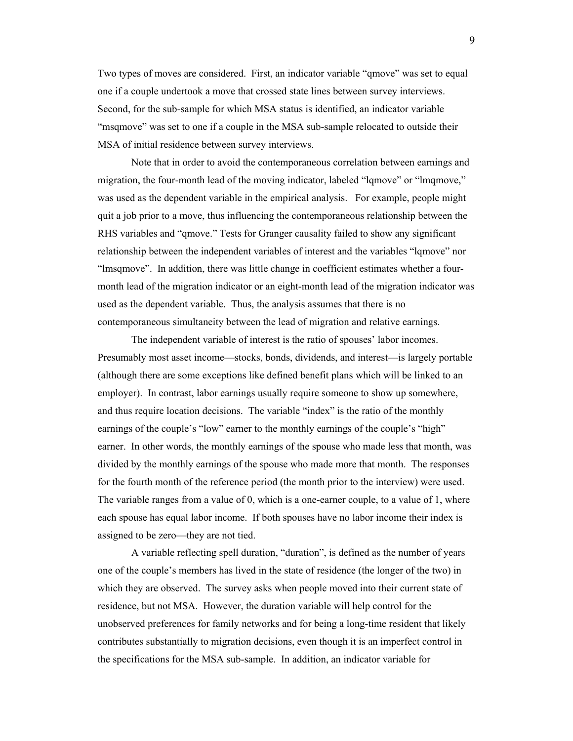Two types of moves are considered. First, an indicator variable "qmove" was set to equal one if a couple undertook a move that crossed state lines between survey interviews. Second, for the sub-sample for which MSA status is identified, an indicator variable "msqmove" was set to one if a couple in the MSA sub-sample relocated to outside their MSA of initial residence between survey interviews.

Note that in order to avoid the contemporaneous correlation between earnings and migration, the four-month lead of the moving indicator, labeled "lqmove" or "lmqmove," was used as the dependent variable in the empirical analysis. For example, people might quit a job prior to a move, thus influencing the contemporaneous relationship between the RHS variables and "qmove." Tests for Granger causality failed to show any significant relationship between the independent variables of interest and the variables "lqmove" nor "lmsqmove". In addition, there was little change in coefficient estimates whether a fourmonth lead of the migration indicator or an eight-month lead of the migration indicator was used as the dependent variable. Thus, the analysis assumes that there is no contemporaneous simultaneity between the lead of migration and relative earnings.

The independent variable of interest is the ratio of spouses' labor incomes. Presumably most asset income—stocks, bonds, dividends, and interest—is largely portable (although there are some exceptions like defined benefit plans which will be linked to an employer). In contrast, labor earnings usually require someone to show up somewhere, and thus require location decisions. The variable "index" is the ratio of the monthly earnings of the couple's "low" earner to the monthly earnings of the couple's "high" earner. In other words, the monthly earnings of the spouse who made less that month, was divided by the monthly earnings of the spouse who made more that month. The responses for the fourth month of the reference period (the month prior to the interview) were used. The variable ranges from a value of 0, which is a one-earner couple, to a value of 1, where each spouse has equal labor income. If both spouses have no labor income their index is assigned to be zero—they are not tied.

A variable reflecting spell duration, "duration", is defined as the number of years one of the couple's members has lived in the state of residence (the longer of the two) in which they are observed. The survey asks when people moved into their current state of residence, but not MSA. However, the duration variable will help control for the unobserved preferences for family networks and for being a long-time resident that likely contributes substantially to migration decisions, even though it is an imperfect control in the specifications for the MSA sub-sample. In addition, an indicator variable for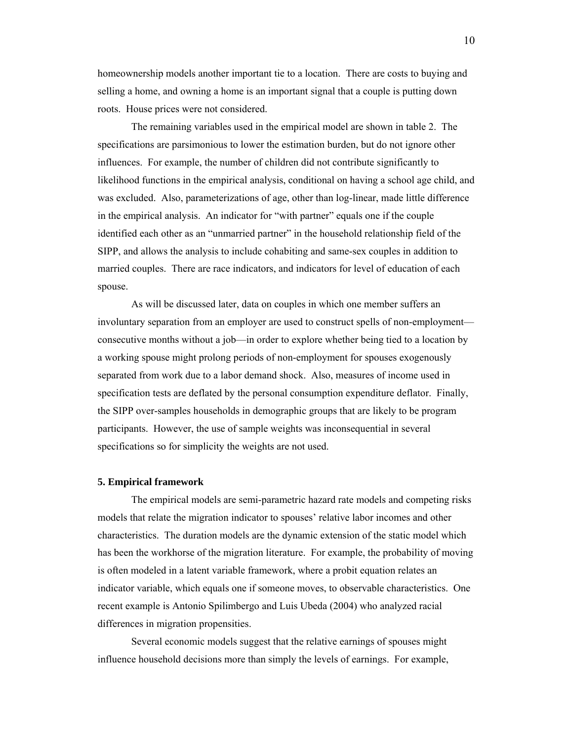homeownership models another important tie to a location. There are costs to buying and selling a home, and owning a home is an important signal that a couple is putting down roots. House prices were not considered.

The remaining variables used in the empirical model are shown in table 2. The specifications are parsimonious to lower the estimation burden, but do not ignore other influences. For example, the number of children did not contribute significantly to likelihood functions in the empirical analysis, conditional on having a school age child, and was excluded. Also, parameterizations of age, other than log-linear, made little difference in the empirical analysis. An indicator for "with partner" equals one if the couple identified each other as an "unmarried partner" in the household relationship field of the SIPP, and allows the analysis to include cohabiting and same-sex couples in addition to married couples. There are race indicators, and indicators for level of education of each spouse.

As will be discussed later, data on couples in which one member suffers an involuntary separation from an employer are used to construct spells of non-employment consecutive months without a job—in order to explore whether being tied to a location by a working spouse might prolong periods of non-employment for spouses exogenously separated from work due to a labor demand shock. Also, measures of income used in specification tests are deflated by the personal consumption expenditure deflator. Finally, the SIPP over-samples households in demographic groups that are likely to be program participants. However, the use of sample weights was inconsequential in several specifications so for simplicity the weights are not used.

#### **5. Empirical framework**

 The empirical models are semi-parametric hazard rate models and competing risks models that relate the migration indicator to spouses' relative labor incomes and other characteristics. The duration models are the dynamic extension of the static model which has been the workhorse of the migration literature. For example, the probability of moving is often modeled in a latent variable framework, where a probit equation relates an indicator variable, which equals one if someone moves, to observable characteristics. One recent example is Antonio Spilimbergo and Luis Ubeda (2004) who analyzed racial differences in migration propensities.

 Several economic models suggest that the relative earnings of spouses might influence household decisions more than simply the levels of earnings. For example,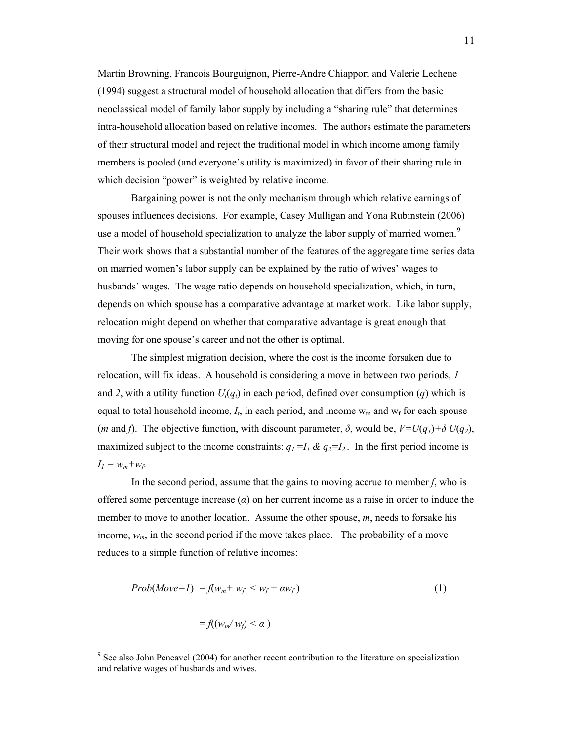Martin Browning, Francois Bourguignon, Pierre-Andre Chiappori and Valerie Lechene (1994) suggest a structural model of household allocation that differs from the basic neoclassical model of family labor supply by including a "sharing rule" that determines intra-household allocation based on relative incomes. The authors estimate the parameters of their structural model and reject the traditional model in which income among family members is pooled (and everyone's utility is maximized) in favor of their sharing rule in which decision "power" is weighted by relative income.

 Bargaining power is not the only mechanism through which relative earnings of spouses influences decisions. For example, Casey Mulligan and Yona Rubinstein (2006) use a model of household specialization to analyze the labor supply of married women.<sup>[9](#page-12-0)</sup> Their work shows that a substantial number of the features of the aggregate time series data on married women's labor supply can be explained by the ratio of wives' wages to husbands' wages. The wage ratio depends on household specialization, which, in turn, depends on which spouse has a comparative advantage at market work. Like labor supply, relocation might depend on whether that comparative advantage is great enough that moving for one spouse's career and not the other is optimal.

 The simplest migration decision, where the cost is the income forsaken due to relocation, will fix ideas. A household is considering a move in between two periods, *1* and 2, with a utility function  $U_t(q_t)$  in each period, defined over consumption (q) which is equal to total household income,  $I_t$ , in each period, and income  $w_m$  and  $w_f$  for each spouse (*m* and *f*). The objective function, with discount parameter,  $\delta$ , would be,  $V=U(q_1)+\delta U(q_2)$ , maximized subject to the income constraints:  $q_1 = I_1 \& q_2 = I_2$ . In the first period income is  $I_l = w_m + w_f$ .

 In the second period, assume that the gains to moving accrue to member *f*, who is offered some percentage increase (*α*) on her current income as a raise in order to induce the member to move to another location. Assume the other spouse, *m*, needs to forsake his income,  $w_m$ , in the second period if the move takes place. The probability of a move reduces to a simple function of relative incomes:

$$
Prob(Move=1) = f(w_m + w_f < w_f + \alpha w_f) \tag{1}
$$

$$
= f((w_m/w_f) < \alpha)
$$

<span id="page-12-0"></span><sup>&</sup>lt;sup>9</sup> See also John Pencavel (2004) for another recent contribution to the literature on specialization and relative wages of husbands and wives.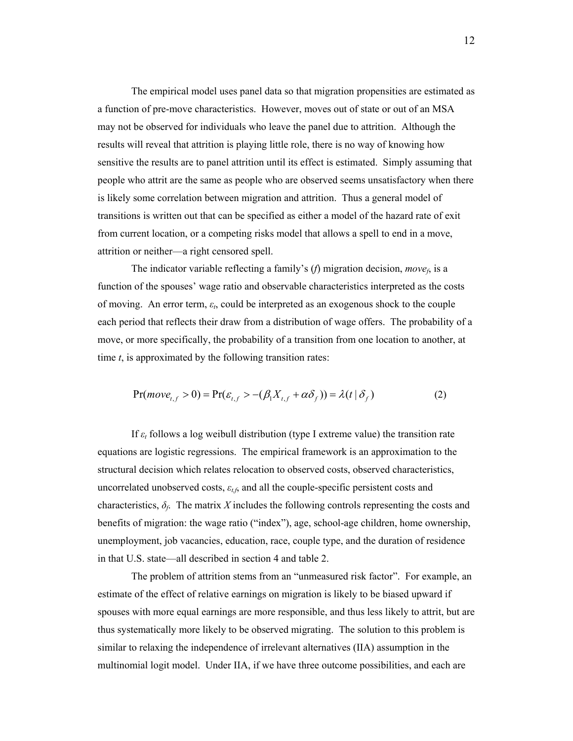The empirical model uses panel data so that migration propensities are estimated as a function of pre-move characteristics. However, moves out of state or out of an MSA may not be observed for individuals who leave the panel due to attrition. Although the results will reveal that attrition is playing little role, there is no way of knowing how sensitive the results are to panel attrition until its effect is estimated. Simply assuming that people who attrit are the same as people who are observed seems unsatisfactory when there is likely some correlation between migration and attrition. Thus a general model of transitions is written out that can be specified as either a model of the hazard rate of exit from current location, or a competing risks model that allows a spell to end in a move, attrition or neither—a right censored spell.

 The indicator variable reflecting a family's (*f*) migration decision, *movef*, is a function of the spouses' wage ratio and observable characteristics interpreted as the costs of moving. An error term, *εt*, could be interpreted as an exogenous shock to the couple each period that reflects their draw from a distribution of wage offers. The probability of a move, or more specifically, the probability of a transition from one location to another, at time *t*, is approximated by the following transition rates:

$$
Pr(move_{t,f} > 0) = Pr(\varepsilon_{t,f} > -(\beta_1 X_{t,f} + \alpha \delta_f)) = \lambda(t | \delta_f)
$$
 (2)

 If *ε<sup>t</sup>* follows a log weibull distribution (type I extreme value) the transition rate equations are logistic regressions. The empirical framework is an approximation to the structural decision which relates relocation to observed costs, observed characteristics, uncorrelated unobserved costs, *εt,f*, and all the couple-specific persistent costs and characteristics,  $\delta_f$ . The matrix *X* includes the following controls representing the costs and benefits of migration: the wage ratio ("index"), age, school-age children, home ownership, unemployment, job vacancies, education, race, couple type, and the duration of residence in that U.S. state—all described in section 4 and table 2.

 The problem of attrition stems from an "unmeasured risk factor". For example, an estimate of the effect of relative earnings on migration is likely to be biased upward if spouses with more equal earnings are more responsible, and thus less likely to attrit, but are thus systematically more likely to be observed migrating. The solution to this problem is similar to relaxing the independence of irrelevant alternatives (IIA) assumption in the multinomial logit model. Under IIA, if we have three outcome possibilities, and each are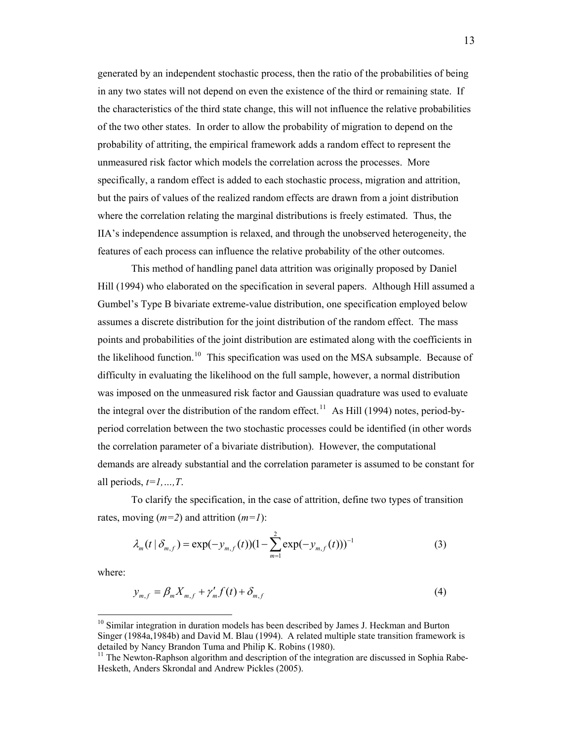generated by an independent stochastic process, then the ratio of the probabilities of being in any two states will not depend on even the existence of the third or remaining state. If the characteristics of the third state change, this will not influence the relative probabilities of the two other states. In order to allow the probability of migration to depend on the probability of attriting, the empirical framework adds a random effect to represent the unmeasured risk factor which models the correlation across the processes. More specifically, a random effect is added to each stochastic process, migration and attrition, but the pairs of values of the realized random effects are drawn from a joint distribution where the correlation relating the marginal distributions is freely estimated. Thus, the IIA's independence assumption is relaxed, and through the unobserved heterogeneity, the features of each process can influence the relative probability of the other outcomes.

 This method of handling panel data attrition was originally proposed by Daniel Hill (1994) who elaborated on the specification in several papers. Although Hill assumed a Gumbel's Type B bivariate extreme-value distribution, one specification employed below assumes a discrete distribution for the joint distribution of the random effect. The mass points and probabilities of the joint distribution are estimated along with the coefficients in the likelihood function.<sup>[10](#page-14-0)</sup> This specification was used on the MSA subsample. Because of difficulty in evaluating the likelihood on the full sample, however, a normal distribution was imposed on the unmeasured risk factor and Gaussian quadrature was used to evaluate the integral over the distribution of the random effect.<sup>[11](#page-14-1)</sup> As Hill (1994) notes, period-byperiod correlation between the two stochastic processes could be identified (in other words the correlation parameter of a bivariate distribution). However, the computational demands are already substantial and the correlation parameter is assumed to be constant for all periods, *t=1,…,T*.

 To clarify the specification, in the case of attrition, define two types of transition rates, moving (*m=2*) and attrition (*m=1*):

$$
\lambda_m(t \mid \delta_{m,f}) = \exp(-y_{m,f}(t))(1 - \sum_{m=1}^2 \exp(-y_{m,f}(t)))^{-1}
$$
 (3)

where:

$$
y_{m,f} = \beta_m X_{m,f} + \gamma'_m f(t) + \delta_{m,f}
$$
 (4)

<span id="page-14-0"></span> $10$  Similar integration in duration models has been described by James J. Heckman and Burton Singer (1984a,1984b) and David M. Blau (1994). A related multiple state transition framework is detailed by Nancy Brandon Tuma and Philip K. Robins (1980).

<span id="page-14-1"></span> $11$  The Newton-Raphson algorithm and description of the integration are discussed in Sophia Rabe-Hesketh, Anders Skrondal and Andrew Pickles (2005).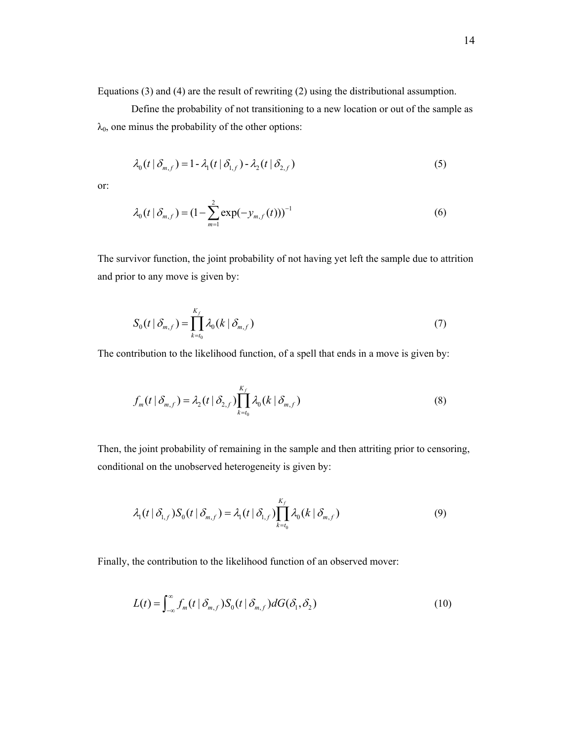Equations (3) and (4) are the result of rewriting (2) using the distributional assumption.

 Define the probability of not transitioning to a new location or out of the sample as  $\lambda_0$ , one minus the probability of the other options:

$$
\lambda_0(t \mid \delta_{m,f}) = 1 - \lambda_1(t \mid \delta_{1,f}) - \lambda_2(t \mid \delta_{2,f})
$$
\n<sup>(5)</sup>

or:

$$
\lambda_0(t \mid \delta_{m,f}) = (1 - \sum_{m=1}^{2} \exp(-y_{m,f}(t)))^{-1}
$$
\n(6)

The survivor function, the joint probability of not having yet left the sample due to attrition and prior to any move is given by:

$$
S_0(t | \delta_{m,f}) = \prod_{k=t_0}^{K_f} \lambda_0(k | \delta_{m,f})
$$
 (7)

The contribution to the likelihood function, of a spell that ends in a move is given by:

$$
f_m(t | \delta_{m,f}) = \lambda_2(t | \delta_{2,f}) \prod_{k=t_0}^{K_f} \lambda_0(k | \delta_{m,f})
$$
\n(8)

Then, the joint probability of remaining in the sample and then attriting prior to censoring, conditional on the unobserved heterogeneity is given by:

$$
\lambda_1(t \,|\, \delta_{1,f}) S_0(t \,|\, \delta_{m,f}) = \lambda_1(t \,|\, \delta_{1,f}) \prod_{k=t_0}^{K_f} \lambda_0(k \,|\, \delta_{m,f}) \tag{9}
$$

Finally, the contribution to the likelihood function of an observed mover:

$$
L(t) = \int_{-\infty}^{\infty} f_m(t \mid \delta_{m,f}) S_0(t \mid \delta_{m,f}) dG(\delta_1, \delta_2)
$$
 (10)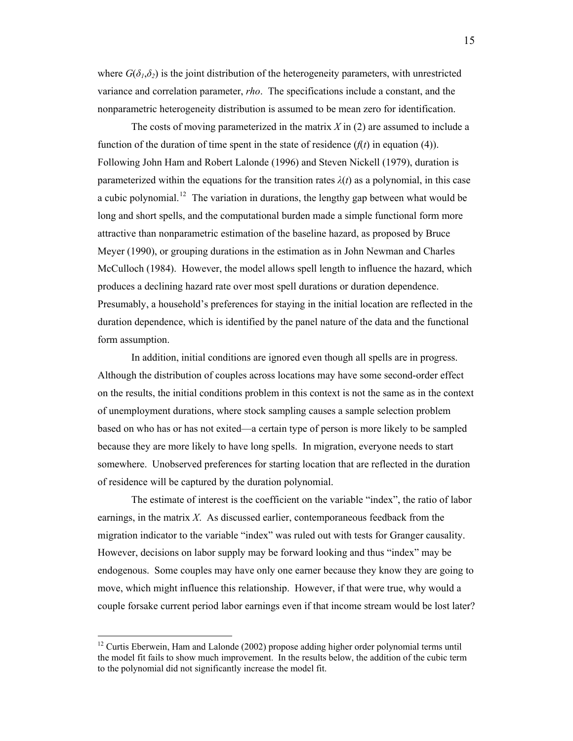where  $G(\delta_1, \delta_2)$  is the joint distribution of the heterogeneity parameters, with unrestricted variance and correlation parameter, *rho*. The specifications include a constant, and the nonparametric heterogeneity distribution is assumed to be mean zero for identification.

 The costs of moving parameterized in the matrix *X* in (2) are assumed to include a function of the duration of time spent in the state of residence  $(f(t))$  in equation (4)). Following John Ham and Robert Lalonde (1996) and Steven Nickell (1979), duration is parameterized within the equations for the transition rates  $\lambda(t)$  as a polynomial, in this case a cubic polynomial.<sup>[12](#page-16-0)</sup> The variation in durations, the lengthy gap between what would be long and short spells, and the computational burden made a simple functional form more attractive than nonparametric estimation of the baseline hazard, as proposed by Bruce Meyer (1990), or grouping durations in the estimation as in John Newman and Charles McCulloch (1984). However, the model allows spell length to influence the hazard, which produces a declining hazard rate over most spell durations or duration dependence. Presumably, a household's preferences for staying in the initial location are reflected in the duration dependence, which is identified by the panel nature of the data and the functional form assumption.

 In addition, initial conditions are ignored even though all spells are in progress. Although the distribution of couples across locations may have some second-order effect on the results, the initial conditions problem in this context is not the same as in the context of unemployment durations, where stock sampling causes a sample selection problem based on who has or has not exited—a certain type of person is more likely to be sampled because they are more likely to have long spells. In migration, everyone needs to start somewhere. Unobserved preferences for starting location that are reflected in the duration of residence will be captured by the duration polynomial.

 The estimate of interest is the coefficient on the variable "index", the ratio of labor earnings, in the matrix *X*. As discussed earlier, contemporaneous feedback from the migration indicator to the variable "index" was ruled out with tests for Granger causality. However, decisions on labor supply may be forward looking and thus "index" may be endogenous. Some couples may have only one earner because they know they are going to move, which might influence this relationship. However, if that were true, why would a couple forsake current period labor earnings even if that income stream would be lost later?

<span id="page-16-0"></span><sup>&</sup>lt;sup>12</sup> Curtis Eberwein, Ham and Lalonde (2002) propose adding higher order polynomial terms until the model fit fails to show much improvement. In the results below, the addition of the cubic term to the polynomial did not significantly increase the model fit.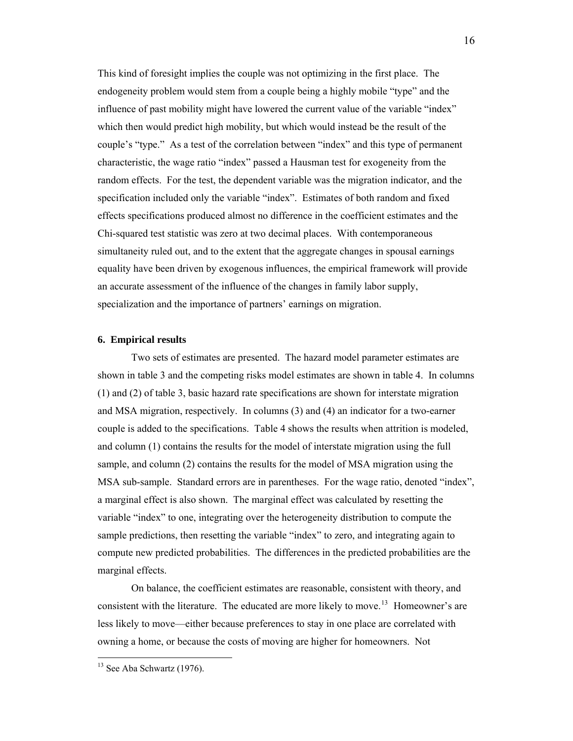This kind of foresight implies the couple was not optimizing in the first place. The endogeneity problem would stem from a couple being a highly mobile "type" and the influence of past mobility might have lowered the current value of the variable "index" which then would predict high mobility, but which would instead be the result of the couple's "type." As a test of the correlation between "index" and this type of permanent characteristic, the wage ratio "index" passed a Hausman test for exogeneity from the random effects. For the test, the dependent variable was the migration indicator, and the specification included only the variable "index". Estimates of both random and fixed effects specifications produced almost no difference in the coefficient estimates and the Chi-squared test statistic was zero at two decimal places. With contemporaneous simultaneity ruled out, and to the extent that the aggregate changes in spousal earnings equality have been driven by exogenous influences, the empirical framework will provide an accurate assessment of the influence of the changes in family labor supply, specialization and the importance of partners' earnings on migration.

#### **6. Empirical results**

 Two sets of estimates are presented. The hazard model parameter estimates are shown in table 3 and the competing risks model estimates are shown in table 4. In columns (1) and (2) of table 3, basic hazard rate specifications are shown for interstate migration and MSA migration, respectively. In columns (3) and (4) an indicator for a two-earner couple is added to the specifications. Table 4 shows the results when attrition is modeled, and column (1) contains the results for the model of interstate migration using the full sample, and column (2) contains the results for the model of MSA migration using the MSA sub-sample. Standard errors are in parentheses. For the wage ratio, denoted "index", a marginal effect is also shown. The marginal effect was calculated by resetting the variable "index" to one, integrating over the heterogeneity distribution to compute the sample predictions, then resetting the variable "index" to zero, and integrating again to compute new predicted probabilities. The differences in the predicted probabilities are the marginal effects.

 On balance, the coefficient estimates are reasonable, consistent with theory, and consistent with the literature. The educated are more likely to move.<sup>[13](#page-17-0)</sup> Homeowner's are less likely to move—either because preferences to stay in one place are correlated with owning a home, or because the costs of moving are higher for homeowners. Not

<span id="page-17-0"></span><sup>&</sup>lt;sup>13</sup> See Aba Schwartz (1976).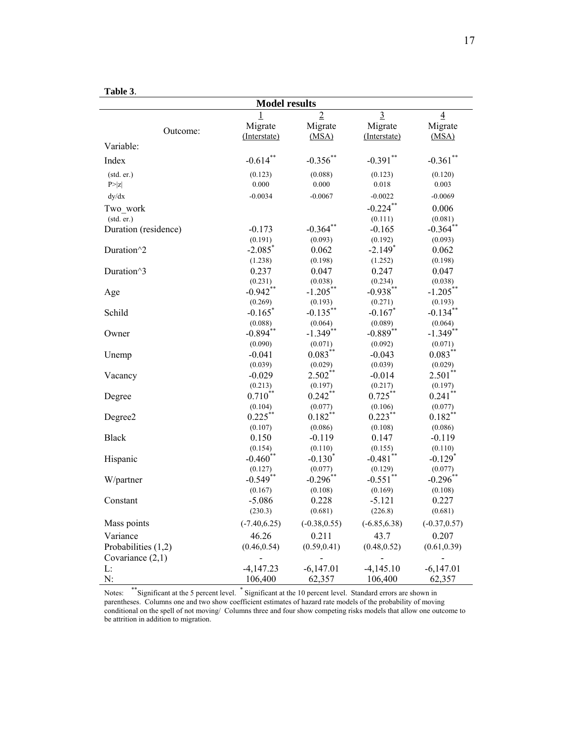| anıe |  |
|------|--|

|                         | 1 avit J.<br><b>Model results</b> |                       |                     |                       |  |  |  |
|-------------------------|-----------------------------------|-----------------------|---------------------|-----------------------|--|--|--|
|                         | $\overline{1}$                    | $\overline{2}$        | $\overline{3}$      | $\overline{4}$        |  |  |  |
|                         | Migrate                           | Migrate               | Migrate             | Migrate               |  |  |  |
| Outcome:                | (Interstate)                      | (MSA)                 | (Interstate)        | (MSA)                 |  |  |  |
| Variable:               |                                   |                       |                     |                       |  |  |  |
| Index                   | $-0.614**$                        | $-0.356$ **           | $-0.391$ **         | $-0.361$ **           |  |  |  |
| (stat. er.)             | (0.123)                           | (0.088)               | (0.123)             | (0.120)               |  |  |  |
| P >  z                  | 0.000                             | 0.000                 | 0.018               | 0.003                 |  |  |  |
| dy/dx                   | $-0.0034$                         | $-0.0067$             | $-0.0022$           | $-0.0069$             |  |  |  |
| Two work                |                                   |                       | $-0.224$ **         | 0.006                 |  |  |  |
| (std. er.)              |                                   |                       | (0.111)             | (0.081)               |  |  |  |
| Duration (residence)    | $-0.173$                          | $-0.364$ **           | $-0.165$            | $-0.364$ **           |  |  |  |
|                         | (0.191)                           | (0.093)               | (0.192)             | (0.093)               |  |  |  |
| Duration <sup>^2</sup>  | $-2.085$ <sup>*</sup>             | 0.062                 | $-2.149*$           | 0.062                 |  |  |  |
|                         | (1.238)                           | (0.198)               | (1.252)             | (0.198)               |  |  |  |
| Duration <sup>^</sup> 3 | 0.237                             | 0.047                 | 0.247               | 0.047                 |  |  |  |
|                         | (0.231)                           | (0.038)               | (0.234)             | (0.038)               |  |  |  |
| Age                     | $-0.942**$                        | $-1.205***$           | $-0.938***$         | $-1.205***$           |  |  |  |
|                         | (0.269)                           | (0.193)               | (0.271)             | (0.193)               |  |  |  |
| Schild                  | $-0.165$ <sup>*</sup>             | $-0.135***$           | $-0.167$ *          | $-0.134$ **           |  |  |  |
|                         | (0.088)                           | (0.064)               | (0.089)             | (0.064)               |  |  |  |
|                         | $-0.894$ **                       | $-1.349$ **           | $-0.889**$          | $-1.349$ **           |  |  |  |
| Owner                   | (0.090)                           |                       |                     |                       |  |  |  |
|                         | $-0.041$                          | (0.071)<br>$0.083***$ | (0.092)<br>$-0.043$ | (0.071)<br>$0.083***$ |  |  |  |
| Unemp                   |                                   |                       |                     |                       |  |  |  |
|                         | (0.039)                           | (0.029)<br>$2.502**$  | (0.039)             | (0.029)               |  |  |  |
| Vacancy                 | $-0.029$                          |                       | $-0.014$            | $2.501**$             |  |  |  |
|                         | (0.213)                           | (0.197)               | (0.217)             | (0.197)               |  |  |  |
| Degree                  | $0.710^{**}$                      | $0.242$ <sup>**</sup> | $0.725***$          | $0.241$ **            |  |  |  |
|                         | (0.104)                           | (0.077)               | (0.106)             | (0.077)               |  |  |  |
| Degree2                 | $0.225***$                        | $0.182\sp{*}$         | $0.223***$          | $0.182***$            |  |  |  |
|                         | (0.107)                           | (0.086)               | (0.108)             | (0.086)               |  |  |  |
| <b>Black</b>            | 0.150                             | $-0.119$              | 0.147               | $-0.119$              |  |  |  |
|                         | (0.154)                           | (0.110)               | (0.155)             | (0.110)               |  |  |  |
| Hispanic                | $-0.460$ **                       | $-0.130*$             | $-0.481$ **         | $-0.129$ <sup>*</sup> |  |  |  |
|                         | (0.127)                           | (0.077)               | (0.129)             | (0.077)               |  |  |  |
| W/partner               | $-0.549$ **                       | $-0.296$ **           | $-0.551$ **         | $-0.296$ **           |  |  |  |
|                         | (0.167)                           | (0.108)               | (0.169)             | (0.108)               |  |  |  |
| Constant                | $-5.086$                          | 0.228                 | $-5.121$            | 0.227                 |  |  |  |
|                         | (230.3)                           | (0.681)               | (226.8)             | (0.681)               |  |  |  |
| Mass points             | $(-7.40, 6.25)$                   | $(-0.38, 0.55)$       | $(-6.85, 6.38)$     | $(-0.37, 0.57)$       |  |  |  |
| Variance                | 46.26                             | 0.211                 | 43.7                | 0.207                 |  |  |  |
| Probabilities $(1,2)$   | (0.46, 0.54)                      | (0.59, 0.41)          | (0.48, 0.52)        | (0.61, 0.39)          |  |  |  |
| Covariance $(2,1)$      |                                   |                       |                     |                       |  |  |  |
| L:                      | $-4,147.23$                       | $-6,147.01$           | $-4,145.10$         | $-6,147.01$           |  |  |  |
| N:                      | 106,400                           | 62,357                | 106,400             | 62,357                |  |  |  |

Notes: \*\*Significant at the 5 percent level. \* Significant at the 10 percent level. Standard errors are shown in parentheses. Columns one and two show coefficient estimates of hazard rate models of the probability of moving conditional on the spell of not moving/ Columns three and four show competing risks models that allow one outcome to be attrition in addition to migration.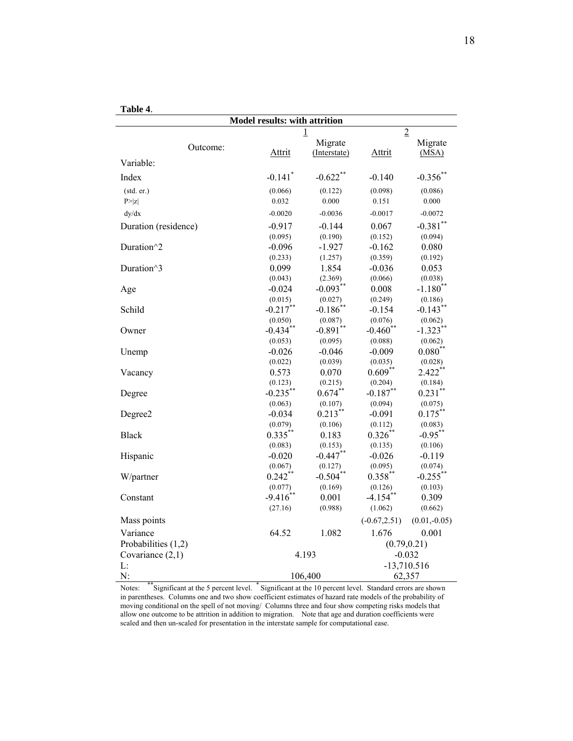| ۱<br>m |  |
|--------|--|
|--------|--|

| Model results: with attrition |                               |              |                 |                        |  |  |  |
|-------------------------------|-------------------------------|--------------|-----------------|------------------------|--|--|--|
|                               | $\overline{2}$<br>$\mathbf 1$ |              |                 |                        |  |  |  |
| Outcome:                      |                               | Migrate      |                 | Migrate                |  |  |  |
|                               | <b>Attrit</b>                 | (Interstate) | Attrit          | (MSA)                  |  |  |  |
| Variable:                     |                               |              |                 |                        |  |  |  |
| Index                         | $-0.141$ <sup>*</sup>         | $-0.622$ **  | $-0.140$        | $-0.356$ **            |  |  |  |
| (stat. er.)                   | (0.066)                       | (0.122)      | (0.098)         | (0.086)                |  |  |  |
| P >  z                        | 0.032                         | 0.000        | 0.151           | 0.000                  |  |  |  |
| dy/dx                         | $-0.0020$                     | $-0.0036$    | $-0.0017$       | $-0.0072$              |  |  |  |
| Duration (residence)          | $-0.917$                      | $-0.144$     | 0.067           | $-0.381$ **            |  |  |  |
|                               | (0.095)                       | (0.190)      | (0.152)         | (0.094)                |  |  |  |
| Duration <sup>^2</sup>        | $-0.096$                      | $-1.927$     | $-0.162$        | 0.080                  |  |  |  |
|                               | (0.233)                       | (1.257)      | (0.359)         | (0.192)                |  |  |  |
| Duration^3                    | 0.099                         | 1.854        | $-0.036$        | 0.053                  |  |  |  |
|                               | (0.043)                       | (2.369)      | (0.066)         | (0.038)                |  |  |  |
| Age                           | $-0.024$                      | $-0.093**$   | 0.008           | $-1.180$ <sup>**</sup> |  |  |  |
|                               | (0.015)                       | (0.027)      | (0.249)         | (0.186)                |  |  |  |
| Schild                        | $-0.217$ **                   | $-0.186$ **  | $-0.154$        | $-0.143$ **            |  |  |  |
|                               | (0.050)                       | (0.087)      | (0.076)         | (0.062)                |  |  |  |
| Owner                         | $-0.434$ **                   | $-0.891**$   | $-0.460$ **     | $-1.323$ **            |  |  |  |
|                               | (0.053)                       | (0.095)      | (0.088)         | (0.062)                |  |  |  |
| Unemp                         | $-0.026$                      | $-0.046$     | $-0.009$        | $0.080**$              |  |  |  |
|                               | (0.022)                       | (0.039)      | (0.035)         | (0.028)                |  |  |  |
| Vacancy                       | 0.573                         | 0.070        | $0.609**$       | $2.422$ **             |  |  |  |
|                               | (0.123)                       | (0.215)      | (0.204)         | (0.184)                |  |  |  |
| Degree                        | $-0.235***$                   | $0.674***$   | $-0.187**$      | $0.231***$             |  |  |  |
|                               | (0.063)                       | (0.107)      | (0.094)         | (0.075)                |  |  |  |
| Degree2                       | $-0.034$                      | $0.213***$   | $-0.091$        | $0.175***$             |  |  |  |
|                               | (0.079)                       | (0.106)      | (0.112)         | (0.083)                |  |  |  |
| <b>Black</b>                  | $0.335***$                    | 0.183        | $0.326**$       | $-0.95***$             |  |  |  |
|                               | (0.083)                       | (0.153)      | (0.135)         | (0.106)                |  |  |  |
| Hispanic                      | $-0.020$                      | $-0.447**$   | $-0.026$        | $-0.119$               |  |  |  |
|                               | (0.067)                       | (0.127)      | (0.095)         | (0.074)                |  |  |  |
| W/partner                     | $0.242$ **                    | $-0.504$ **  | $0.358***$      | $-0.255$ **            |  |  |  |
|                               | (0.077)                       | (0.169)      | (0.126)         | (0.103)                |  |  |  |
| Constant                      | $-9.416$ **                   | 0.001        | $-4.154$ **     | 0.309                  |  |  |  |
|                               | (27.16)                       | (0.988)      | (1.062)         | (0.662)                |  |  |  |
| Mass points                   |                               |              | $(-0.67, 2.51)$ | $(0.01,-0.05)$         |  |  |  |
| Variance                      | 64.52                         | 1.082        | 1.676           | 0.001                  |  |  |  |
| Probabilities $(1,2)$         |                               |              | (0.79, 0.21)    |                        |  |  |  |
| Covariance $(2,1)$            | 4.193                         |              | $-0.032$        |                        |  |  |  |
| L:                            |                               |              | $-13,710.516$   |                        |  |  |  |
| N:                            | 106,400                       |              | 62,357          |                        |  |  |  |

Notes: \*\*Significant at the 5 percent level. \* Significant at the 10 percent level. Standard errors are shown in parentheses. Columns one and two show coefficient estimates of hazard rate models of the probability of moving conditional on the spell of not moving/ Columns three and four show competing risks models that allow one outcome to be attrition in addition to migration. Note that age and duration coefficients were scaled and then un-scaled for presentation in the interstate sample for computational ease.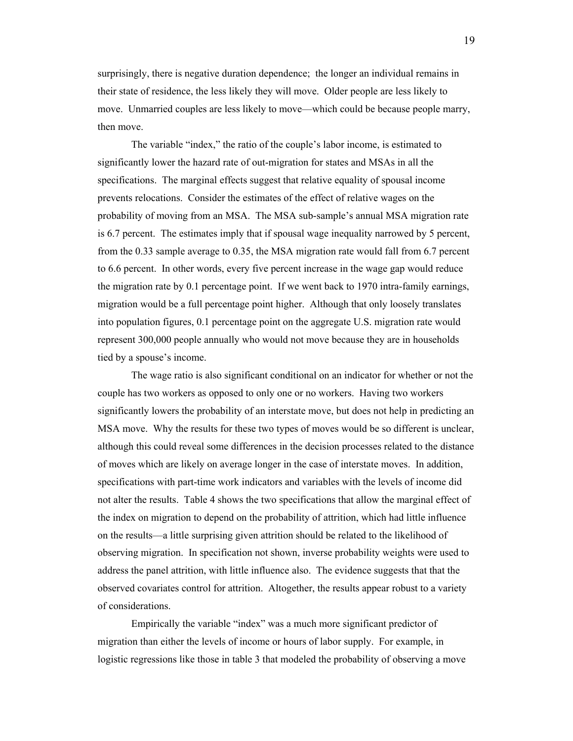surprisingly, there is negative duration dependence; the longer an individual remains in their state of residence, the less likely they will move. Older people are less likely to move. Unmarried couples are less likely to move—which could be because people marry, then move.

 The variable "index," the ratio of the couple's labor income, is estimated to significantly lower the hazard rate of out-migration for states and MSAs in all the specifications. The marginal effects suggest that relative equality of spousal income prevents relocations. Consider the estimates of the effect of relative wages on the probability of moving from an MSA. The MSA sub-sample's annual MSA migration rate is 6.7 percent. The estimates imply that if spousal wage inequality narrowed by 5 percent, from the 0.33 sample average to 0.35, the MSA migration rate would fall from 6.7 percent to 6.6 percent. In other words, every five percent increase in the wage gap would reduce the migration rate by 0.1 percentage point. If we went back to 1970 intra-family earnings, migration would be a full percentage point higher. Although that only loosely translates into population figures, 0.1 percentage point on the aggregate U.S. migration rate would represent 300,000 people annually who would not move because they are in households tied by a spouse's income.

 The wage ratio is also significant conditional on an indicator for whether or not the couple has two workers as opposed to only one or no workers. Having two workers significantly lowers the probability of an interstate move, but does not help in predicting an MSA move. Why the results for these two types of moves would be so different is unclear, although this could reveal some differences in the decision processes related to the distance of moves which are likely on average longer in the case of interstate moves. In addition, specifications with part-time work indicators and variables with the levels of income did not alter the results. Table 4 shows the two specifications that allow the marginal effect of the index on migration to depend on the probability of attrition, which had little influence on the results—a little surprising given attrition should be related to the likelihood of observing migration. In specification not shown, inverse probability weights were used to address the panel attrition, with little influence also. The evidence suggests that that the observed covariates control for attrition. Altogether, the results appear robust to a variety of considerations.

 Empirically the variable "index" was a much more significant predictor of migration than either the levels of income or hours of labor supply. For example, in logistic regressions like those in table 3 that modeled the probability of observing a move

19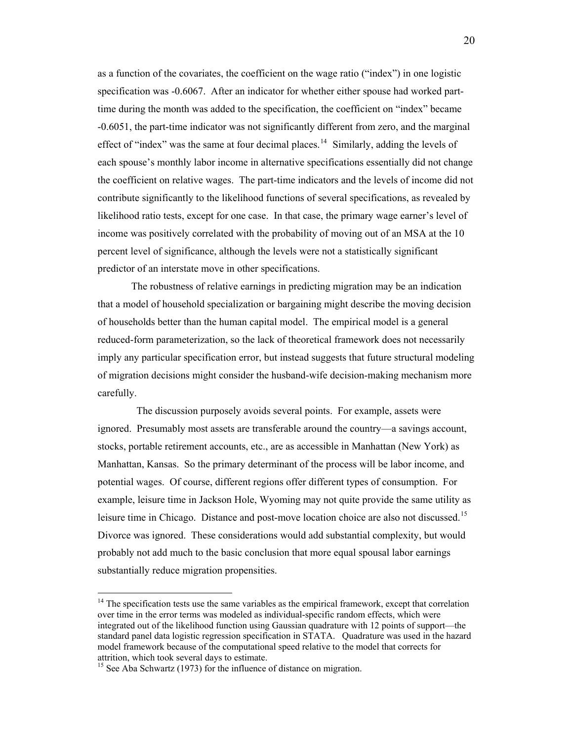as a function of the covariates, the coefficient on the wage ratio ("index") in one logistic specification was -0.6067. After an indicator for whether either spouse had worked parttime during the month was added to the specification, the coefficient on "index" became -0.6051, the part-time indicator was not significantly different from zero, and the marginal effect of "index" was the same at four decimal places.<sup>[14](#page-21-0)</sup> Similarly, adding the levels of each spouse's monthly labor income in alternative specifications essentially did not change the coefficient on relative wages. The part-time indicators and the levels of income did not contribute significantly to the likelihood functions of several specifications, as revealed by likelihood ratio tests, except for one case. In that case, the primary wage earner's level of income was positively correlated with the probability of moving out of an MSA at the 10 percent level of significance, although the levels were not a statistically significant predictor of an interstate move in other specifications.

 The robustness of relative earnings in predicting migration may be an indication that a model of household specialization or bargaining might describe the moving decision of households better than the human capital model. The empirical model is a general reduced-form parameterization, so the lack of theoretical framework does not necessarily imply any particular specification error, but instead suggests that future structural modeling of migration decisions might consider the husband-wife decision-making mechanism more carefully.

 The discussion purposely avoids several points. For example, assets were ignored. Presumably most assets are transferable around the country—a savings account, stocks, portable retirement accounts, etc., are as accessible in Manhattan (New York) as Manhattan, Kansas. So the primary determinant of the process will be labor income, and potential wages. Of course, different regions offer different types of consumption. For example, leisure time in Jackson Hole, Wyoming may not quite provide the same utility as leisure time in Chicago. Distance and post-move location choice are also not discussed.<sup>[15](#page-21-1)</sup> Divorce was ignored. These considerations would add substantial complexity, but would probably not add much to the basic conclusion that more equal spousal labor earnings substantially reduce migration propensities.

<span id="page-21-0"></span> $14$ <sup>14</sup> The specification tests use the same variables as the empirical framework, except that correlation over time in the error terms was modeled as individual-specific random effects, which were integrated out of the likelihood function using Gaussian quadrature with 12 points of support—the standard panel data logistic regression specification in STATA. Quadrature was used in the hazard model framework because of the computational speed relative to the model that corrects for attrition, which took several days to estimate.

<span id="page-21-1"></span> $15$  See Aba Schwartz (1973) for the influence of distance on migration.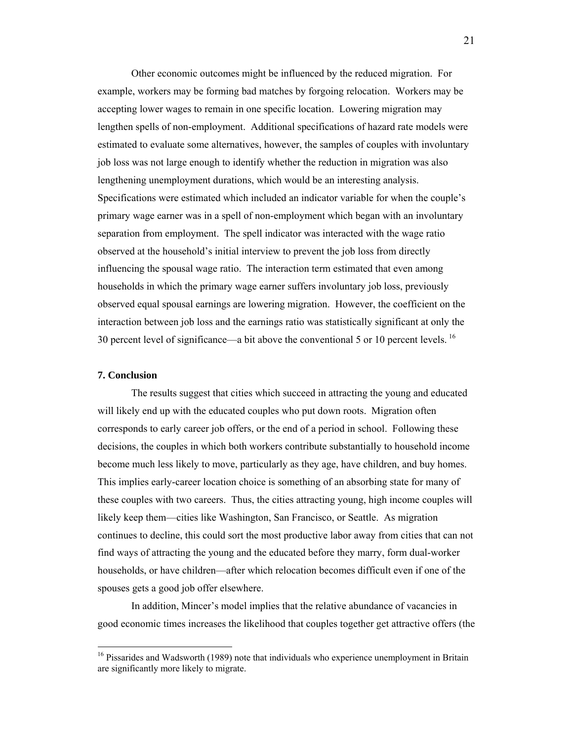Other economic outcomes might be influenced by the reduced migration. For example, workers may be forming bad matches by forgoing relocation. Workers may be accepting lower wages to remain in one specific location. Lowering migration may lengthen spells of non-employment. Additional specifications of hazard rate models were estimated to evaluate some alternatives, however, the samples of couples with involuntary job loss was not large enough to identify whether the reduction in migration was also lengthening unemployment durations, which would be an interesting analysis. Specifications were estimated which included an indicator variable for when the couple's primary wage earner was in a spell of non-employment which began with an involuntary separation from employment. The spell indicator was interacted with the wage ratio observed at the household's initial interview to prevent the job loss from directly influencing the spousal wage ratio. The interaction term estimated that even among households in which the primary wage earner suffers involuntary job loss, previously observed equal spousal earnings are lowering migration. However, the coefficient on the interaction between job loss and the earnings ratio was statistically significant at only the 30 percent level of significance—a bit above the conventional 5 or 10 percent levels. <sup>[16](#page-22-0)</sup>

#### **7. Conclusion**

 $\overline{a}$ 

 The results suggest that cities which succeed in attracting the young and educated will likely end up with the educated couples who put down roots. Migration often corresponds to early career job offers, or the end of a period in school. Following these decisions, the couples in which both workers contribute substantially to household income become much less likely to move, particularly as they age, have children, and buy homes. This implies early-career location choice is something of an absorbing state for many of these couples with two careers. Thus, the cities attracting young, high income couples will likely keep them—cities like Washington, San Francisco, or Seattle. As migration continues to decline, this could sort the most productive labor away from cities that can not find ways of attracting the young and the educated before they marry, form dual-worker households, or have children—after which relocation becomes difficult even if one of the spouses gets a good job offer elsewhere.

 In addition, Mincer's model implies that the relative abundance of vacancies in good economic times increases the likelihood that couples together get attractive offers (the

<span id="page-22-0"></span><sup>&</sup>lt;sup>16</sup> Pissarides and Wadsworth (1989) note that individuals who experience unemployment in Britain are significantly more likely to migrate.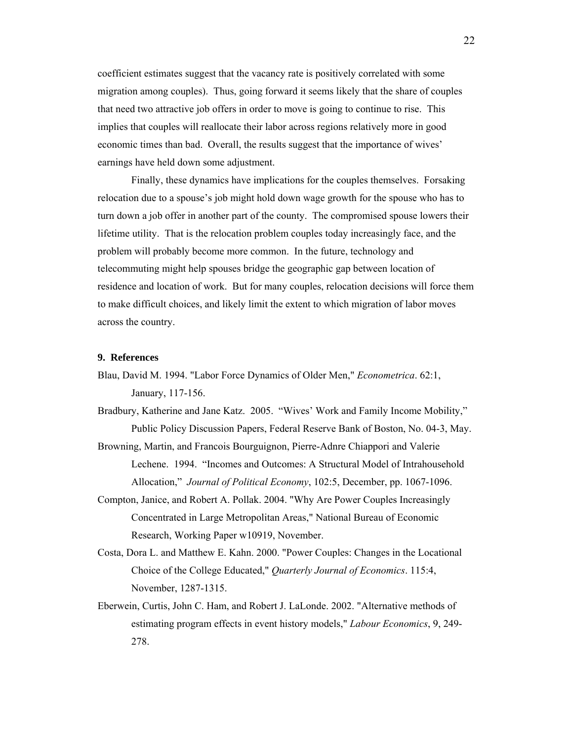coefficient estimates suggest that the vacancy rate is positively correlated with some migration among couples). Thus, going forward it seems likely that the share of couples that need two attractive job offers in order to move is going to continue to rise. This implies that couples will reallocate their labor across regions relatively more in good economic times than bad. Overall, the results suggest that the importance of wives' earnings have held down some adjustment.

 Finally, these dynamics have implications for the couples themselves. Forsaking relocation due to a spouse's job might hold down wage growth for the spouse who has to turn down a job offer in another part of the county. The compromised spouse lowers their lifetime utility. That is the relocation problem couples today increasingly face, and the problem will probably become more common. In the future, technology and telecommuting might help spouses bridge the geographic gap between location of residence and location of work. But for many couples, relocation decisions will force them to make difficult choices, and likely limit the extent to which migration of labor moves across the country.

#### **9. References**

- Blau, David M. 1994. "Labor Force Dynamics of Older Men," *Econometrica*. 62:1, January, 117-156.
- Bradbury, Katherine and Jane Katz. 2005. "Wives' Work and Family Income Mobility," Public Policy Discussion Papers, Federal Reserve Bank of Boston, No. 04-3, May.
- Browning, Martin, and Francois Bourguignon, Pierre-Adnre Chiappori and Valerie Lechene. 1994. "Incomes and Outcomes: A Structural Model of Intrahousehold Allocation," *Journal of Political Economy*, 102:5, December, pp. 1067-1096.
- Compton, Janice, and Robert A. Pollak. 2004. "Why Are Power Couples Increasingly Concentrated in Large Metropolitan Areas," National Bureau of Economic Research, Working Paper w10919, November.
- Costa, Dora L. and Matthew E. Kahn. 2000. "Power Couples: Changes in the Locational Choice of the College Educated," *Quarterly Journal of Economics*. 115:4, November, 1287-1315.
- Eberwein, Curtis, John C. Ham, and Robert J. LaLonde. 2002. "Alternative methods of estimating program effects in event history models," *Labour Economics*, 9, 249- 278.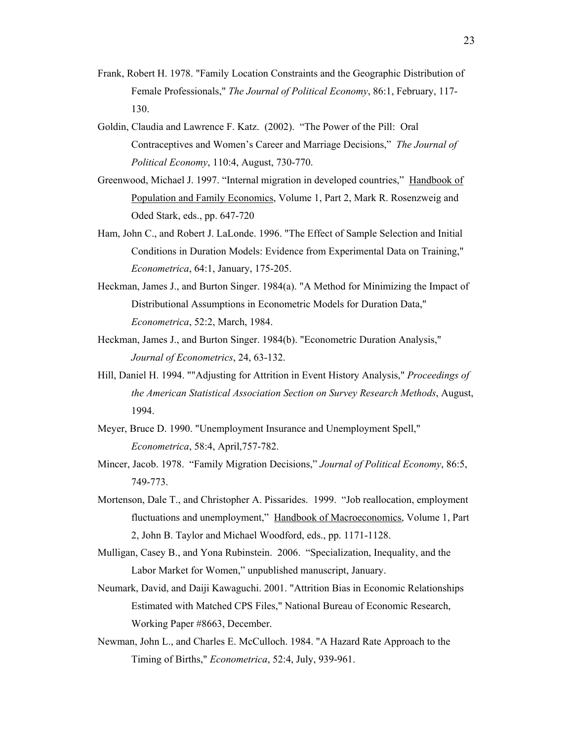- Frank, Robert H. 1978. "Family Location Constraints and the Geographic Distribution of Female Professionals," *The Journal of Political Economy*, 86:1, February, 117- 130.
- Goldin, Claudia and Lawrence F. Katz. (2002). "The Power of the Pill: Oral Contraceptives and Women's Career and Marriage Decisions," *The Journal of Political Economy*, 110:4, August, 730-770.
- Greenwood, Michael J. 1997. "Internal migration in developed countries," Handbook of Population and Family Economics, Volume 1, Part 2, Mark R. Rosenzweig and Oded Stark, eds., pp. 647-720
- Ham, John C., and Robert J. LaLonde. 1996. "The Effect of Sample Selection and Initial Conditions in Duration Models: Evidence from Experimental Data on Training," *Econometrica*, 64:1, January, 175-205.
- Heckman, James J., and Burton Singer. 1984(a). "A Method for Minimizing the Impact of Distributional Assumptions in Econometric Models for Duration Data," *Econometrica*, 52:2, March, 1984.
- Heckman, James J., and Burton Singer. 1984(b). "Econometric Duration Analysis," *Journal of Econometrics*, 24, 63-132.
- Hill, Daniel H. 1994. ""Adjusting for Attrition in Event History Analysis," *Proceedings of the American Statistical Association Section on Survey Research Methods*, August, 1994.
- Meyer, Bruce D. 1990. "Unemployment Insurance and Unemployment Spell," *Econometrica*, 58:4, April,757-782.
- Mincer, Jacob. 1978. "Family Migration Decisions," *Journal of Political Economy*, 86:5, 749-773.
- Mortenson, Dale T., and Christopher A. Pissarides. 1999. "Job reallocation, employment fluctuations and unemployment," Handbook of Macroeconomics, Volume 1, Part 2, John B. Taylor and Michael Woodford, eds., pp. 1171-1128.
- Mulligan, Casey B., and Yona Rubinstein. 2006. "Specialization, Inequality, and the Labor Market for Women," unpublished manuscript, January.
- Neumark, David, and Daiji Kawaguchi. 2001. "Attrition Bias in Economic Relationships Estimated with Matched CPS Files," National Bureau of Economic Research, Working Paper #8663, December.
- Newman, John L., and Charles E. McCulloch. 1984. "A Hazard Rate Approach to the Timing of Births," *Econometrica*, 52:4, July, 939-961.